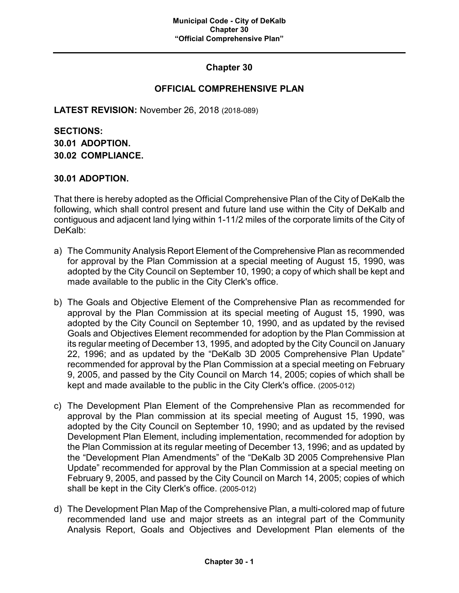## **Chapter 30**

## **OFFICIAL COMPREHENSIVE PLAN**

**LATEST REVISION:** November 26, 2018 (2018-089)

**SECTIONS: 30.01 ADOPTION. 30.02 COMPLIANCE.**

## **30.01 ADOPTION.**

That there is hereby adopted as the Official Comprehensive Plan of the City of DeKalb the following, which shall control present and future land use within the City of DeKalb and contiguous and adjacent land lying within 1-11/2 miles of the corporate limits of the City of DeKalb:

- a) The Community Analysis Report Element of the Comprehensive Plan as recommended for approval by the Plan Commission at a special meeting of August 15, 1990, was adopted by the City Council on September 10, 1990; a copy of which shall be kept and made available to the public in the City Clerk's office.
- b) The Goals and Objective Element of the Comprehensive Plan as recommended for approval by the Plan Commission at its special meeting of August 15, 1990, was adopted by the City Council on September 10, 1990, and as updated by the revised Goals and Objectives Element recommended for adoption by the Plan Commission at its regular meeting of December 13, 1995, and adopted by the City Council on January 22, 1996; and as updated by the "DeKalb 3D 2005 Comprehensive Plan Update" recommended for approval by the Plan Commission at a special meeting on February 9, 2005, and passed by the City Council on March 14, 2005; copies of which shall be kept and made available to the public in the City Clerk's office. (2005-012)
- c) The Development Plan Element of the Comprehensive Plan as recommended for approval by the Plan commission at its special meeting of August 15, 1990, was adopted by the City Council on September 10, 1990; and as updated by the revised Development Plan Element, including implementation, recommended for adoption by the Plan Commission at its regular meeting of December 13, 1996; and as updated by the "Development Plan Amendments" of the "DeKalb 3D 2005 Comprehensive Plan Update" recommended for approval by the Plan Commission at a special meeting on February 9, 2005, and passed by the City Council on March 14, 2005; copies of which shall be kept in the City Clerk's office. (2005-012)
- d) The Development Plan Map of the Comprehensive Plan, a multi-colored map of future recommended land use and major streets as an integral part of the Community Analysis Report, Goals and Objectives and Development Plan elements of the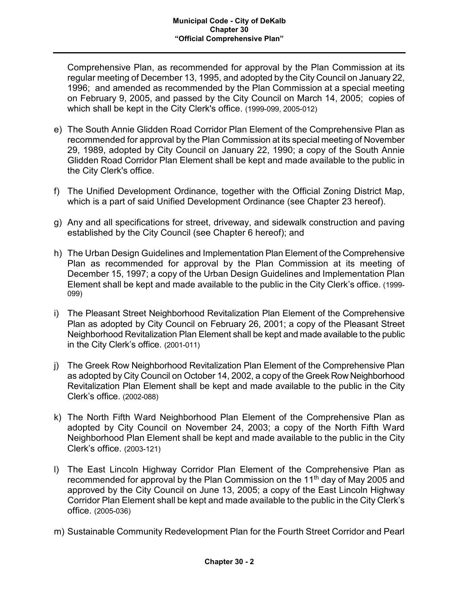Comprehensive Plan, as recommended for approval by the Plan Commission at its regular meeting of December 13, 1995, and adopted by the City Council on January 22, 1996; and amended as recommended by the Plan Commission at a special meeting on February 9, 2005, and passed by the City Council on March 14, 2005; copies of which shall be kept in the City Clerk's office. (1999-099, 2005-012)

- e) The South Annie Glidden Road Corridor Plan Element of the Comprehensive Plan as recommended for approval by the Plan Commission at its special meeting of November 29, 1989, adopted by City Council on January 22, 1990; a copy of the South Annie Glidden Road Corridor Plan Element shall be kept and made available to the public in the City Clerk's office.
- f) The Unified Development Ordinance, together with the Official Zoning District Map, which is a part of said Unified Development Ordinance (see Chapter 23 hereof).
- g) Any and all specifications for street, driveway, and sidewalk construction and paving established by the City Council (see Chapter 6 hereof); and
- h) The Urban Design Guidelines and Implementation Plan Element of the Comprehensive Plan as recommended for approval by the Plan Commission at its meeting of December 15, 1997; a copy of the Urban Design Guidelines and Implementation Plan Element shall be kept and made available to the public in the City Clerk's office. (1999- 099)
- i) The Pleasant Street Neighborhood Revitalization Plan Element of the Comprehensive Plan as adopted by City Council on February 26, 2001; a copy of the Pleasant Street Neighborhood Revitalization Plan Element shall be kept and made available to the public in the City Clerk's office. (2001-011)
- j) The Greek Row Neighborhood Revitalization Plan Element of the Comprehensive Plan as adopted by City Council on October 14, 2002, a copy of the Greek Row Neighborhood Revitalization Plan Element shall be kept and made available to the public in the City Clerk's office. (2002-088)
- k) The North Fifth Ward Neighborhood Plan Element of the Comprehensive Plan as adopted by City Council on November 24, 2003; a copy of the North Fifth Ward Neighborhood Plan Element shall be kept and made available to the public in the City Clerk's office. (2003-121)
- l) The East Lincoln Highway Corridor Plan Element of the Comprehensive Plan as recommended for approval by the Plan Commission on the 11<sup>th</sup> day of May 2005 and approved by the City Council on June 13, 2005; a copy of the East Lincoln Highway Corridor Plan Element shall be kept and made available to the public in the City Clerk's office. (2005-036)
- m) Sustainable Community Redevelopment Plan for the Fourth Street Corridor and Pearl